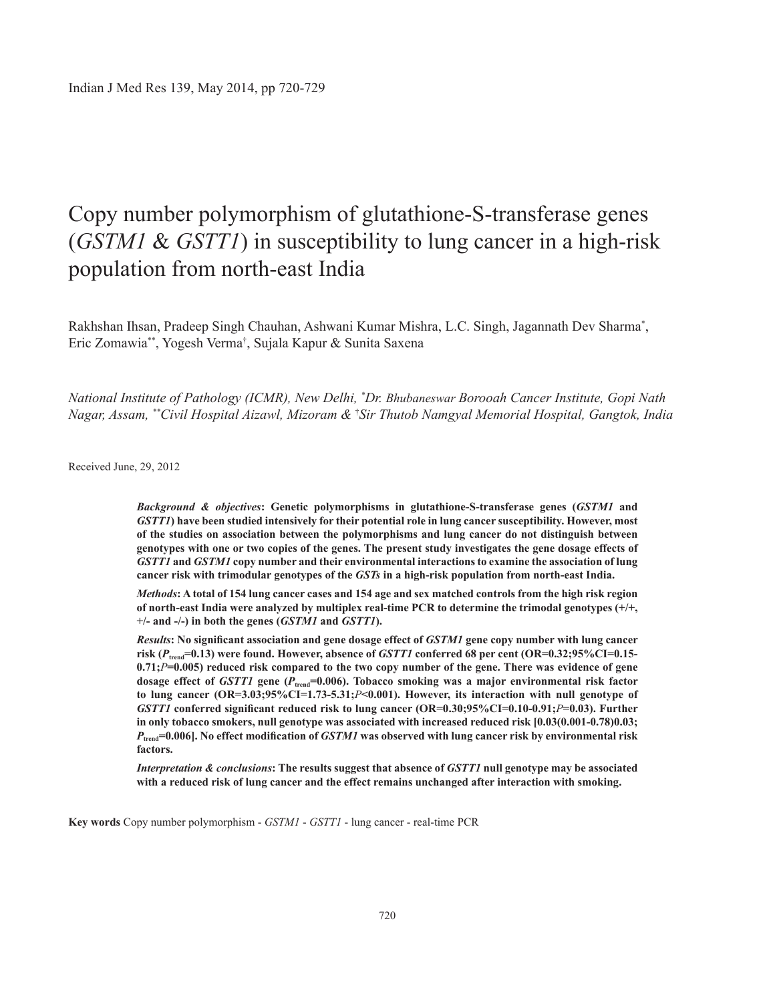# copy number polymorphism of glutathione-S-transferase genes (*GSTM1* & *GSTT1*) in susceptibility to lung cancer in a high-risk population from north-east India

Rakhshan Ihsan, Pradeep Singh Chauhan, Ashwani Kumar Mishra, L.C. Singh, Jagannath Dev Sharma\* , Eric Zomawia\*\*, Yogesh Verma† , Sujala Kapur & Sunita Saxena

*National Institute of Pathology (ICMR), New Delhi, \* Dr. Bhubaneswar Borooah Cancer Institute, Gopi Nath Nagar, Assam, \*\*Civil Hospital Aizawl, Mizoram &* † *Sir Thutob Namgyal Memorial Hospital, Gangtok, India* 

Received June, 29, 2012

*Background & objectives***: Genetic polymorphisms in glutathione-S-transferase genes (***GSTM1* **and**  *GSTT1***) have been studied intensively for their potential role in lung cancer susceptibility. However, most of the studies on association between the polymorphisms and lung cancer do not distinguish between genotypes with one or two copies of the genes. The present study investigates the gene dosage effects of**  *GSTT1* **and** *GSTM1* **copy number and their environmental interactions to examine the association of lung cancer risk with trimodular genotypes of the** *GSTs* **in a high-risk population from north-east India.**

*Methods***: A total of 154 lung cancer cases and 154 age and sex matched controls from the high risk region of north-east India were analyzed by multiplex real-time PCR to determine the trimodal genotypes (+/+, +/- and -/-) in both the genes (***GSTM1* **and** *GSTT1***).** 

*Results***: No significant association and gene dosage effect of** *GSTM1* **gene copy number with lung cancer risk (***P***trend=0.13) were found. However, absence of** *GSTT1* **conferred 68 per cent (OR=0.32;95%CI=0.15- 0.71;***P***=0.005) reduced risk compared to the two copy number of the gene. there was evidence of gene dosage effect of** *GSTT1* **gene (***P***trend=0.006). Tobacco smoking was a major environmental risk factor to lung cancer (OR=3.03;95%CI=1.73-5.31;***P***<0.001). However, its interaction with null genotype of**  *GSTT1* **conferred significant reduced risk to lung cancer (OR=0.30;95%CI=0.10-0.91;***P***=0.03). Further in only tobacco smokers, null genotype was associated with increased reduced risk [0.03(0.001-0.78)0.03;**  *P***trend=0.006]. No effect modification of** *GSTM1* **was observed with lung cancer risk by environmental risk factors.** 

*Interpretation & conclusions*: The results suggest that absence of *GSTT1* null genotype may be associated **with a reduced risk of lung cancer and the effect remains unchanged after interaction with smoking.** 

**Key words** Copy number polymorphism - *GSTM1* - *GSTT1* - lung cancer - real-time PCR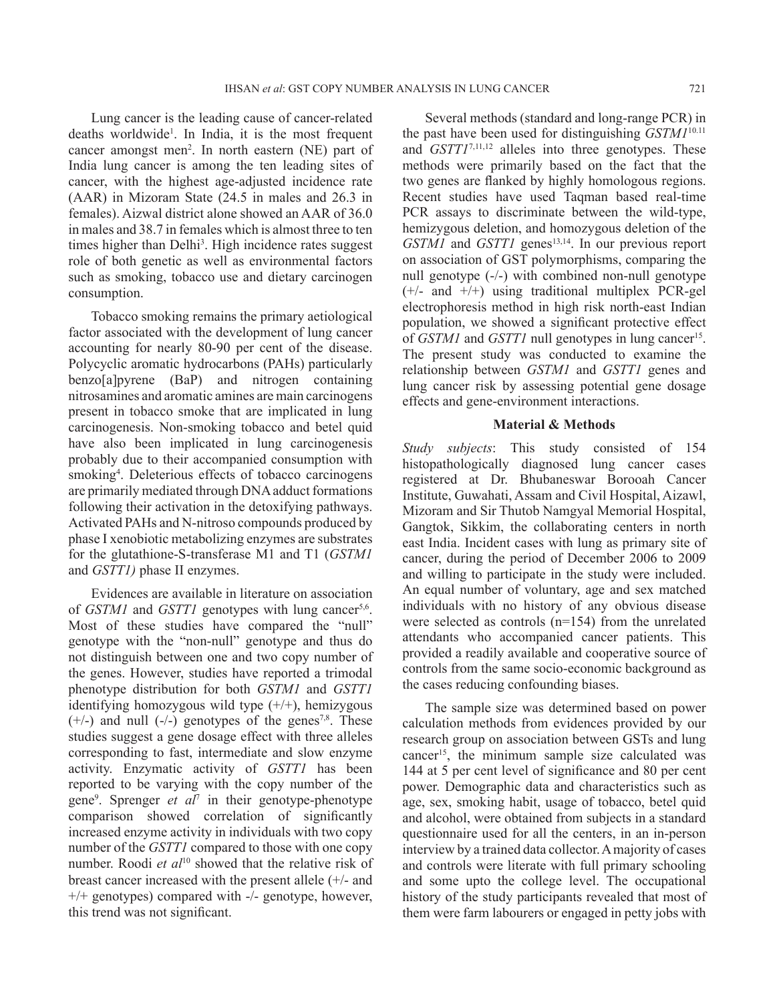Lung cancer is the leading cause of cancer-related deaths worldwide1 . In India, it is the most frequent cancer amongst men<sup>2</sup>. In north eastern (NE) part of India lung cancer is among the ten leading sites of cancer, with the highest age-adjusted incidence rate (AAR) in Mizoram state (24.5 in males and 26.3 in females). Aizwal district alone showed an AAR of 36.0 in males and 38.7 in females which is almost three to ten times higher than Delhi<sup>3</sup>. High incidence rates suggest role of both genetic as well as environmental factors such as smoking, tobacco use and dietary carcinogen consumption.

Tobacco smoking remains the primary aetiological factor associated with the development of lung cancer accounting for nearly 80-90 per cent of the disease. Polycyclic aromatic hydrocarbons (PAHs) particularly benzo[a]pyrene (BaP) and nitrogen containing nitrosamines and aromatic amines are main carcinogens present in tobacco smoke that are implicated in lung carcinogenesis. Non-smoking tobacco and betel quid have also been implicated in lung carcinogenesis probably due to their accompanied consumption with smoking<sup>4</sup>. Deleterious effects of tobacco carcinogens are primarily mediated through DNA adduct formations following their activation in the detoxifying pathways. Activated PAHs and N-nitroso compounds produced by phase I xenobiotic metabolizing enzymes are substrates for the glutathione-S-transferase M1 and T1 (*GSTM1* and *GSTT1)* phase II enzymes.

Evidences are available in literature on association of *GSTM1* and *GSTT1* genotypes with lung cancer<sup>5,6</sup>. Most of these studies have compared the "null" genotype with the "non-null" genotype and thus do not distinguish between one and two copy number of the genes. However, studies have reported a trimodal phenotype distribution for both *GSTM1* and *GSTT1* identifying homozygous wild type  $(+/+)$ , hemizygous  $(+/-)$  and null  $(-/-)$  genotypes of the genes<sup>7,8</sup>. These studies suggest a gene dosage effect with three alleles corresponding to fast, intermediate and slow enzyme activity. Enzymatic activity of *GSTT1* has been reported to be varying with the copy number of the gene9 . Sprenger *et al*<sup>7</sup> in their genotype-phenotype comparison showed correlation of significantly increased enzyme activity in individuals with two copy number of the *GSTT1* compared to those with one copy number. Roodi *et al*<sup>10</sup> showed that the relative risk of breast cancer increased with the present allele (+/- and +/+ genotypes) compared with -/- genotype, however, this trend was not significant.

Several methods (standard and long-range PCR) in the past have been used for distinguishing *GSTM1*10.11 and *GSTT1*7,11,12 alleles into three genotypes. These methods were primarily based on the fact that the two genes are flanked by highly homologous regions. Recent studies have used Taqman based real-time PCR assays to discriminate between the wild-type, hemizygous deletion, and homozygous deletion of the *GSTM1* and *GSTT1* genes<sup>13,14</sup>. In our previous report on association of GST polymorphisms, comparing the null genotype (-/-) with combined non-null genotype  $(+/-$  and  $+/-$ ) using traditional multiplex PCR-gel electrophoresis method in high risk north-east Indian population, we showed a significant protective effect of *GSTM1* and *GSTT1* null genotypes in lung cancer<sup>15</sup>. The present study was conducted to examine the relationship between *GSTM1* and *GSTT1* genes and lung cancer risk by assessing potential gene dosage effects and gene-environment interactions.

#### **material & methods**

*Study subjects*: This study consisted of 154 histopathologically diagnosed lung cancer cases registered at Dr. Bhubaneswar Borooah Cancer Institute, Guwahati, Assam and Civil Hospital, Aizawl, Mizoram and Sir Thutob Namgyal Memorial Hospital, Gangtok, Sikkim, the collaborating centers in north east India. Incident cases with lung as primary site of cancer, during the period of December 2006 to 2009 and willing to participate in the study were included. An equal number of voluntary, age and sex matched individuals with no history of any obvious disease were selected as controls (n=154) from the unrelated attendants who accompanied cancer patients. This provided a readily available and cooperative source of controls from the same socio-economic background as the cases reducing confounding biases.

The sample size was determined based on power calculation methods from evidences provided by our research group on association between GSTs and lung cancer15, the minimum sample size calculated was 144 at 5 per cent level of significance and 80 per cent power. Demographic data and characteristics such as age, sex, smoking habit, usage of tobacco, betel quid and alcohol, were obtained from subjects in a standard questionnaire used for all the centers, in an in-person interview by a trained data collector. A majority of cases and controls were literate with full primary schooling and some upto the college level. The occupational history of the study participants revealed that most of them were farm labourers or engaged in petty jobs with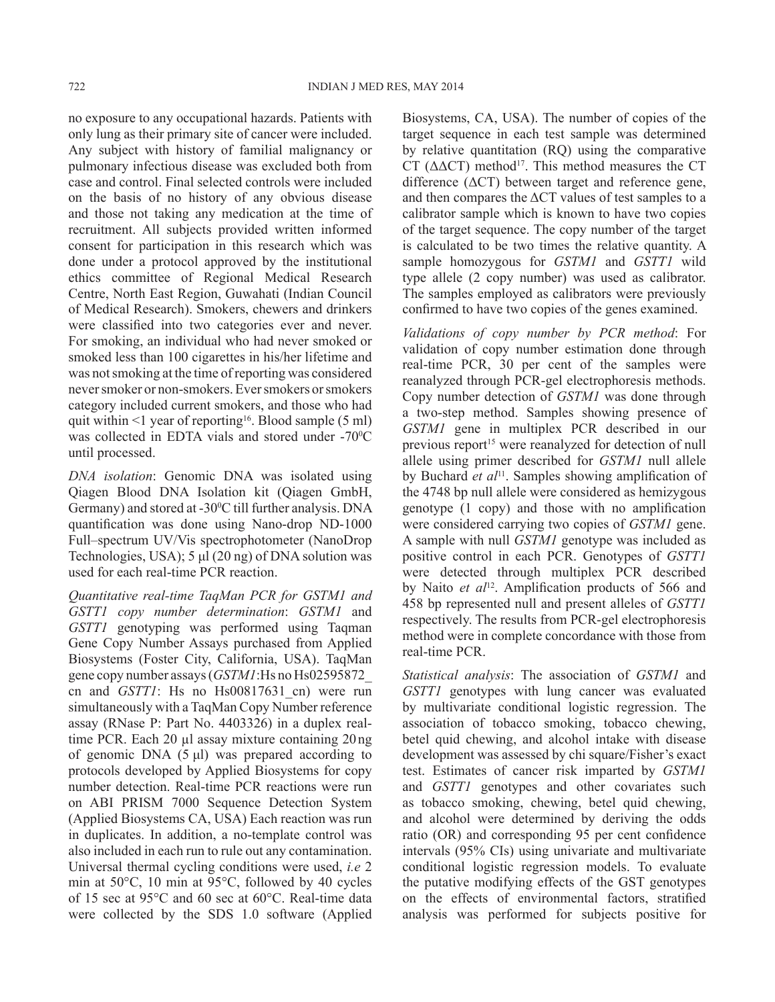no exposure to any occupational hazards. Patients with only lung as their primary site of cancer were included. Any subject with history of familial malignancy or pulmonary infectious disease was excluded both from case and control. Final selected controls were included on the basis of no history of any obvious disease and those not taking any medication at the time of recruitment. All subjects provided written informed consent for participation in this research which was done under a protocol approved by the institutional ethics committee of Regional Medical Research Centre, North East Region, Guwahati (Indian Council of Medical Research). Smokers, chewers and drinkers were classified into two categories ever and never. For smoking, an individual who had never smoked or smoked less than 100 cigarettes in his/her lifetime and was not smoking at the time of reporting was considered never smoker or non-smokers. Ever smokers or smokers category included current smokers, and those who had quit within  $\leq 1$  year of reporting<sup>16</sup>. Blood sample (5 ml) was collected in EDTA vials and stored under  $-70^{\circ}$ C until processed.

*DNA isolation*: Genomic DNA was isolated using Qiagen Blood DNA Isolation kit (Qiagen GmbH, Germany) and stored at  $-30^{\circ}$ C till further analysis. DNA quantification was done using Nano-drop ND-1000 Full–spectrum UV/Vis spectrophotometer (NanoDrop Technologies, USA); 5 μl (20 ng) of DNA solution was used for each real-time PCR reaction.

*Quantitative real-time TaqMan PCR for GSTM1 and GSTT1 copy number determination*: *GSTM1* and *GSTT1* genotyping was performed using Taqman Gene Copy Number Assays purchased from Applied Biosystems (Foster City, California, USA). TaqMan gene copy number assays (*GSTM1*:Hs no Hs02595872\_ cn and *GSTT1*: Hs no Hs00817631\_cn) were run simultaneously with a TaqMan Copy Number reference assay (RNase P: Part No. 4403326) in a duplex realtime PCR. Each 20 µl assay mixture containing 20 ng of genomic DNA  $(5 \mu l)$  was prepared according to protocols developed by Applied Biosystems for copy number detection. Real-time PCR reactions were run on ABI PRISM 7000 Sequence Detection System (Applied Biosystems CA, USA) Each reaction was run in duplicates. In addition, a no-template control was also included in each run to rule out any contamination. Universal thermal cycling conditions were used, *i.e* 2 min at 50°C, 10 min at 95°C, followed by 40 cycles of 15 sec at 95°C and 60 sec at 60°C. Real-time data were collected by the SDS 1.0 software (Applied

Biosystems, CA, USA). The number of copies of the target sequence in each test sample was determined by relative quantitation (RQ) using the comparative CT ( $\Delta \Delta$ CT) method<sup>17</sup>. This method measures the CT difference (ΔCT) between target and reference gene, and then compares the  $\Delta$ CT values of test samples to a calibrator sample which is known to have two copies of the target sequence. The copy number of the target is calculated to be two times the relative quantity. A sample homozygous for *GSTM1* and *GSTT1* wild type allele (2 copy number) was used as calibrator. The samples employed as calibrators were previously confirmed to have two copies of the genes examined.

*Validations of copy number by PCR method*: For validation of copy number estimation done through real-time PCR, 30 per cent of the samples were reanalyzed through PCR-gel electrophoresis methods. Copy number detection of *GSTM1* was done through a two-step method. Samples showing presence of *GSTM1* gene in multiplex PCR described in our previous report<sup>15</sup> were reanalyzed for detection of null allele using primer described for *GSTM1* null allele by Buchard *et al*<sup>11</sup>. Samples showing amplification of the 4748 bp null allele were considered as hemizygous genotype (1 copy) and those with no amplification were considered carrying two copies of *GSTM1* gene. A sample with null *GSTM1* genotype was included as positive control in each PCR. Genotypes of *GSTT1* were detected through multiplex PCR described by Naito *et al*<sup>12</sup>. Amplification products of 566 and 458 bp represented null and present alleles of *GSTT1* respectively. The results from PCR-gel electrophoresis method were in complete concordance with those from real-time PCR.

*Statistical analysis*: The association of *GSTM1* and *GSTT1* genotypes with lung cancer was evaluated by multivariate conditional logistic regression. The association of tobacco smoking, tobacco chewing, betel quid chewing, and alcohol intake with disease development was assessed by chi square/Fisher's exact test. Estimates of cancer risk imparted by *GSTM1* and *GSTT1* genotypes and other covariates such as tobacco smoking, chewing, betel quid chewing, and alcohol were determined by deriving the odds ratio (OR) and corresponding 95 per cent confidence intervals (95% CIs) using univariate and multivariate conditional logistic regression models. To evaluate the putative modifying effects of the GST genotypes on the effects of environmental factors, stratified analysis was performed for subjects positive for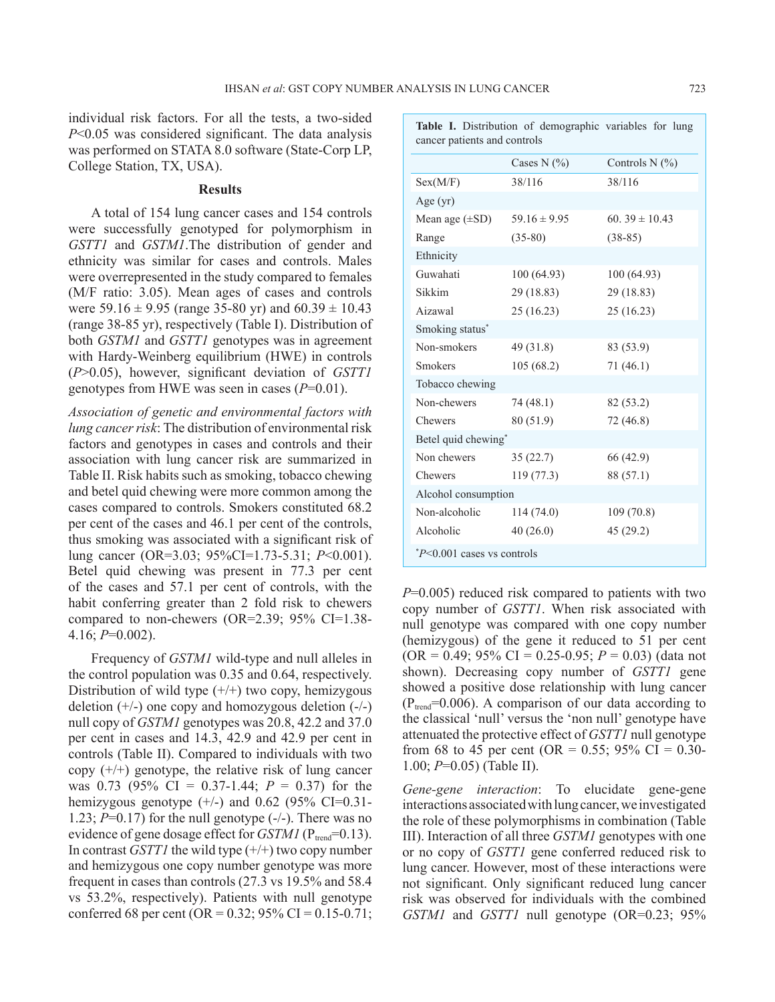individual risk factors. For all the tests, a two-sided *P*<0.05 was considered significant. The data analysis was performed on STATA 8.0 software (State-Corp LP, College Station, TX, USA).

#### **Results**

A total of 154 lung cancer cases and 154 controls were successfully genotyped for polymorphism in *GSTT1* and *GSTM1*.The distribution of gender and ethnicity was similar for cases and controls. Males were overrepresented in the study compared to females (M/F ratio: 3.05). Mean ages of cases and controls were 59.16  $\pm$  9.95 (range 35-80 yr) and 60.39  $\pm$  10.43 (range 38-85 yr), respectively (Table I). Distribution of both *GSTM1* and *GSTT1* genotypes was in agreement with Hardy-Weinberg equilibrium (HWE) in controls (*P*>0.05), however, significant deviation of *GSTT1* genotypes from HWE was seen in cases (*P*=0.01).

*Association of genetic and environmental factors with lung cancer risk*: The distribution of environmental risk factors and genotypes in cases and controls and their association with lung cancer risk are summarized in Table II. Risk habits such as smoking, tobacco chewing and betel quid chewing were more common among the cases compared to controls. Smokers constituted 68.2 per cent of the cases and 46.1 per cent of the controls, thus smoking was associated with a significant risk of lung cancer (OR=3.03; 95%CI=1.73-5.31; *P*<0.001). Betel quid chewing was present in 77.3 per cent of the cases and 57.1 per cent of controls, with the habit conferring greater than 2 fold risk to chewers compared to non-chewers (OR=2.39; 95% CI=1.38- 4.16; *P*=0.002).

Frequency of *GSTM1* wild-type and null alleles in the control population was 0.35 and 0.64, respectively. Distribution of wild type  $(+/+)$  two copy, hemizygous deletion  $(+/-)$  one copy and homozygous deletion  $(-/-)$ null copy of *GSTM1* genotypes was 20.8, 42.2 and 37.0 per cent in cases and 14.3, 42.9 and 42.9 per cent in controls (Table II). Compared to individuals with two copy  $(+/+)$  genotype, the relative risk of lung cancer was 0.73 (95% CI = 0.37-1.44; *P* = 0.37) for the hemizygous genotype  $(+/-)$  and 0.62 (95% CI=0.31-1.23;  $P=0.17$ ) for the null genotype  $(-/-)$ . There was no evidence of gene dosage effect for *GSTM1* ( $P_{trend}$ =0.13). In contrast *GSTT1* the wild type (+/+) two copy number and hemizygous one copy number genotype was more frequent in cases than controls (27.3 vs 19.5% and 58.4 vs 53.2%, respectively). Patients with null genotype conferred 68 per cent (OR =  $0.32$ ; 95% CI =  $0.15 - 0.71$ ;

| cancer patients and controls |                  |                   |  |  |  |  |
|------------------------------|------------------|-------------------|--|--|--|--|
|                              | Cases N $(\% )$  | Controls N $(%)$  |  |  |  |  |
| Sex(M/F)                     | 38/116           | 38/116            |  |  |  |  |
| Age $(yr)$                   |                  |                   |  |  |  |  |
| Mean age $(\pm SD)$          | 59.16 $\pm$ 9.95 | 60.39 $\pm$ 10.43 |  |  |  |  |
| Range                        | $(35-80)$        | $(38-85)$         |  |  |  |  |
| Ethnicity                    |                  |                   |  |  |  |  |
| Guwahati                     | 100(64.93)       | 100(64.93)        |  |  |  |  |
| Sikkim                       | 29 (18.83)       | 29 (18.83)        |  |  |  |  |
| Aizawal                      | 25(16.23)        | 25 (16.23)        |  |  |  |  |
| Smoking status*              |                  |                   |  |  |  |  |
| Non-smokers                  | 49 (31.8)        | 83 (53.9)         |  |  |  |  |
| <b>Smokers</b>               | 105(68.2)        | 71(46.1)          |  |  |  |  |
| Tobacco chewing              |                  |                   |  |  |  |  |
| Non-chewers                  | 74 (48.1)        | 82 (53.2)         |  |  |  |  |
| Chewers                      | 80 (51.9)        | 72 (46.8)         |  |  |  |  |
| Betel quid chewing*          |                  |                   |  |  |  |  |
| Non chewers                  | 35(22.7)         | 66 (42.9)         |  |  |  |  |
| Chewers                      | 119(77.3)        | 88 (57.1)         |  |  |  |  |
| Alcohol consumption          |                  |                   |  |  |  |  |
| Non-alcoholic                | 114(74.0)        | 109(70.8)         |  |  |  |  |
| Alcoholic                    | 40(26.0)         | 45 (29.2)         |  |  |  |  |
| $P<0.001$ cases vs controls  |                  |                   |  |  |  |  |

*P*=0.005) reduced risk compared to patients with two copy number of *GSTT1*. When risk associated with null genotype was compared with one copy number (hemizygous) of the gene it reduced to 51 per cent (OR = 0.49; 95% CI = 0.25-0.95; *P* = 0.03) (data not shown). Decreasing copy number of *GSTT1* gene showed a positive dose relationship with lung cancer  $(P_{trend}=0.006)$ . A comparison of our data according to the classical 'null' versus the 'non null' genotype have attenuated the protective effect of *GSTT1* null genotype from 68 to 45 per cent (OR = 0.55; 95% CI = 0.30-1.00; *P*=0.05) (Table II).

*Gene-gene interaction*: To elucidate gene-gene interactions associated with lung cancer, we investigated the role of these polymorphisms in combination (Table III). Interaction of all three *GSTM1* genotypes with one or no copy of *GSTT1* gene conferred reduced risk to lung cancer. However, most of these interactions were not significant. Only significant reduced lung cancer risk was observed for individuals with the combined *GSTM1* and *GSTT1* null genotype (OR=0.23; 95%

Table I. Distribution of demographic variables for lung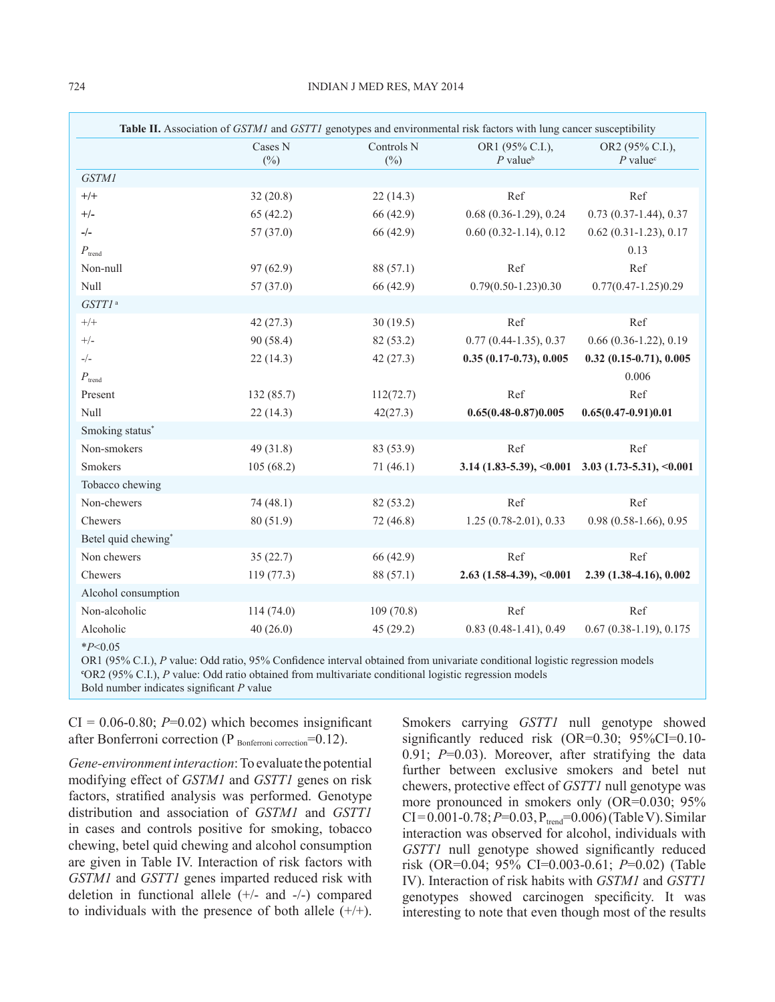|                     |                   |                                 | Table II. Association of GSTM1 and GSTT1 genotypes and environmental risk factors with lung cancer susceptibility |                                                     |
|---------------------|-------------------|---------------------------------|-------------------------------------------------------------------------------------------------------------------|-----------------------------------------------------|
|                     | Cases N<br>$(\%)$ | Controls <sub>N</sub><br>$(\%)$ | OR1 (95% C.I.),<br>$P$ value <sup>b</sup>                                                                         | OR2 (95% C.I.),<br>$P$ value <sup>c</sup>           |
| <b>GSTM1</b>        |                   |                                 |                                                                                                                   |                                                     |
| $+/+$               | 32(20.8)          | 22(14.3)                        | Ref                                                                                                               | Ref                                                 |
| $+/-$               | 65(42.2)          | 66 (42.9)                       | $0.68$ $(0.36-1.29)$ , $0.24$                                                                                     | $0.73(0.37-1.44), 0.37$                             |
| $-/-$               | 57(37.0)          | 66 (42.9)                       | $0.60(0.32-1.14), 0.12$                                                                                           | $0.62(0.31-1.23), 0.17$                             |
| $P_{\text{trend}}$  |                   |                                 |                                                                                                                   | 0.13                                                |
| Non-null            | 97(62.9)          | 88 (57.1)                       | Ref                                                                                                               | Ref                                                 |
| Null                | 57(37.0)          | 66 (42.9)                       | $0.79(0.50 - 1.23)0.30$                                                                                           | $0.77(0.47 - 1.25)0.29$                             |
| GSTT1 <sup>a</sup>  |                   |                                 |                                                                                                                   |                                                     |
| $+/+$               | 42(27.3)          | 30(19.5)                        | Ref                                                                                                               | Ref                                                 |
| $+/-$               | 90 (58.4)         | 82 (53.2)                       | $0.77(0.44-1.35), 0.37$                                                                                           | $0.66(0.36-1.22), 0.19$                             |
| $-/-$               | 22(14.3)          | 42(27.3)                        | $0.35(0.17-0.73), 0.005$                                                                                          | $0.32$ $(0.15-0.71)$ , $0.005$                      |
| $P_{\text{trend}}$  |                   |                                 |                                                                                                                   | 0.006                                               |
| Present             | 132(85.7)         | 112(72.7)                       | Ref                                                                                                               | Ref                                                 |
| Null                | 22(14.3)          | 42(27.3)                        | $0.65(0.48 - 0.87)0.005$                                                                                          | $0.65(0.47-0.91)0.01$                               |
| Smoking status*     |                   |                                 |                                                                                                                   |                                                     |
| Non-smokers         | 49(31.8)          | 83 (53.9)                       | Ref                                                                                                               | Ref                                                 |
| <b>Smokers</b>      | 105(68.2)         | 71(46.1)                        |                                                                                                                   | $3.14$ (1.83-5.39), <0.001 3.03 (1.73-5.31), <0.001 |
| Tobacco chewing     |                   |                                 |                                                                                                                   |                                                     |
| Non-chewers         | 74(48.1)          | 82 (53.2)                       | Ref                                                                                                               | Ref                                                 |
| Chewers             | 80 (51.9)         | 72 (46.8)                       | $1.25(0.78-2.01), 0.33$                                                                                           | 0.98 (0.58-1.66), 0.95                              |
| Betel quid chewing* |                   |                                 |                                                                                                                   |                                                     |
| Non chewers         | 35(22.7)          | 66 (42.9)                       | Ref                                                                                                               | Ref                                                 |
| Chewers             | 119(77.3)         | 88 (57.1)                       | $2.63$ (1.58-4.39), <0.001                                                                                        | 2.39 (1.38-4.16), 0.002                             |
| Alcohol consumption |                   |                                 |                                                                                                                   |                                                     |
| Non-alcoholic       | 114(74.0)         | 109(70.8)                       | Ref                                                                                                               | Ref                                                 |
| Alcoholic           | 40(26.0)          | 45(29.2)                        | $0.83(0.48-1.41), 0.49$                                                                                           | $0.67(0.38-1.19), 0.175$                            |
| $*P<0.05$           |                   |                                 |                                                                                                                   |                                                     |

OR1 (95% C.I.), *P* value: Odd ratio, 95% Confidence interval obtained from univariate conditional logistic regression models **c** OR2 (95% C.I.), *P* value: Odd ratio obtained from multivariate conditional logistic regression models Bold number indicates significant *P* value

 $CI = 0.06 - 0.80$ ;  $P = 0.02$ ) which becomes insignificant after Bonferroni correction ( $P_{\text{Bonferroni correction}} = 0.12$ ).

*Gene-environment interaction*:To evaluate the potential modifying effect of *GSTM1* and *GSTT1* genes on risk factors, stratified analysis was performed. Genotype distribution and association of *GSTM1* and *GSTT1* in cases and controls positive for smoking, tobacco chewing, betel quid chewing and alcohol consumption are given in Table IV. Interaction of risk factors with *GSTM1* and *GSTT1* genes imparted reduced risk with deletion in functional allele (+/- and -/-) compared to individuals with the presence of both allele  $(+/+)$ . Smokers carrying *GSTT1* null genotype showed significantly reduced risk (OR=0.30; 95%CI=0.10- 0.91; *P*=0.03). Moreover, after stratifying the data further between exclusive smokers and betel nut chewers, protective effect of *GSTT1* null genotype was more pronounced in smokers only (OR=0.030; 95%  $CI = 0.001 - 0.78$ ;  $P = 0.03$ ,  $P_{trend} = 0.006$ ) (Table V). Similar interaction was observed for alcohol, individuals with *GSTT1* null genotype showed significantly reduced risk (OR=0.04; 95% CI=0.003-0.61; *P*=0.02) (Table IV). Interaction of risk habits with *GSTM1* and *GSTT1* genotypes showed carcinogen specificity. It was interesting to note that even though most of the results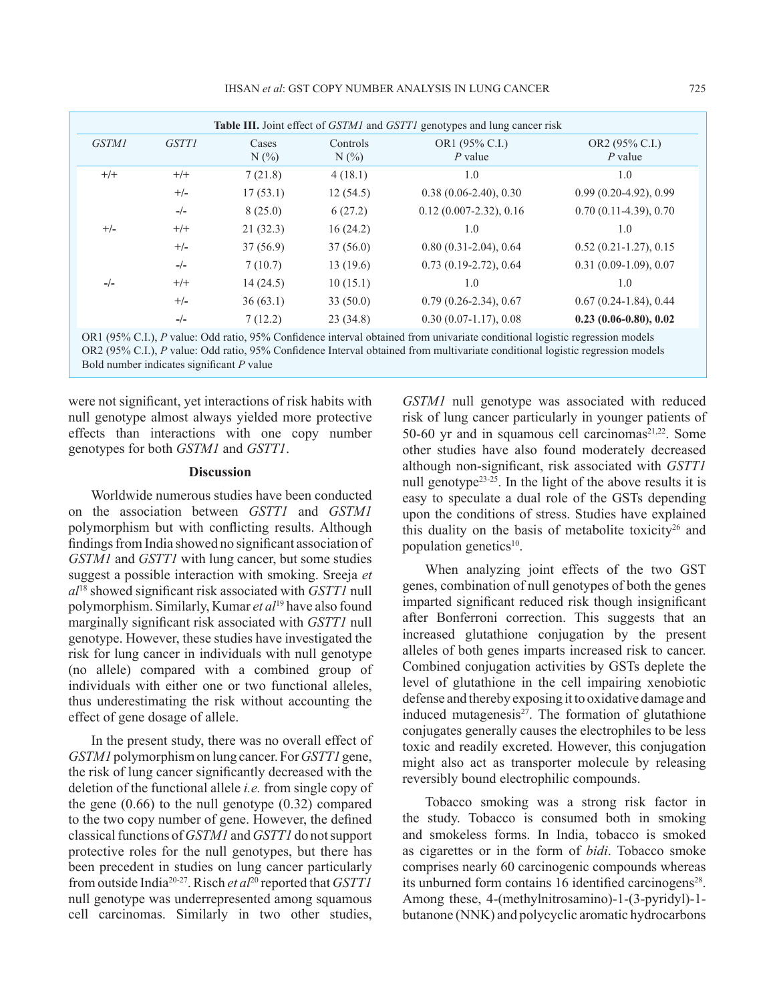|              |              |                  |                     | <b>Table III.</b> Joint effect of <i>GSTM1</i> and <i>GSTT1</i> genotypes and lung cancer risk |                             |
|--------------|--------------|------------------|---------------------|------------------------------------------------------------------------------------------------|-----------------------------|
| <b>GSTM1</b> | <b>GSTT1</b> | Cases<br>$N(\%)$ | Controls<br>$N(\%)$ | OR1 (95% C.I.)<br>$P$ value                                                                    | OR2 (95% C.I.)<br>$P$ value |
| $+/+$        | $+/+$        | 7(21.8)          | 4(18.1)             | 1.0                                                                                            | 1.0                         |
|              | $+/-$        | 17(53.1)         | 12(54.5)            | $0.38(0.06-2.40), 0.30$                                                                        | $0.99(0.20-4.92), 0.99$     |
|              | $-/-$        | 8(25.0)          | 6(27.2)             | $0.12(0.007 - 2.32), 0.16$                                                                     | $0.70(0.11-4.39), 0.70$     |
| $+/-$        | $+/+$        | 21(32.3)         | 16(24.2)            | 1.0                                                                                            | 1.0                         |
|              | $+/-$        | 37(56.9)         | 37(56.0)            | $0.80(0.31-2.04), 0.64$                                                                        | $0.52(0.21-1.27), 0.15$     |
|              | $-/-$        | 7(10.7)          | 13(19.6)            | $0.73$ $(0.19-2.72)$ , $0.64$                                                                  | $0.31(0.09-1.09), 0.07$     |
| $-/-$        | $+/+$        | 14(24.5)         | 10(15.1)            | 1.0                                                                                            | 1.0                         |
|              | $+/-$        | 36(63.1)         | 33(50.0)            | $0.79(0.26-2.34), 0.67$                                                                        | $0.67(0.24-1.84), 0.44$     |
|              | $-/-$        | 7(12.2)          | 23(34.8)            | $0.30(0.07-1.17), 0.08$                                                                        | $0.23(0.06-0.80), 0.02$     |

OR1 (95% C.I.), *P* value: Odd ratio, 95% Confidence interval obtained from univariate conditional logistic regression models OR2 (95% C.I.), *P* value: Odd ratio, 95% Confidence Interval obtained from multivariate conditional logistic regression models Bold number indicates significant *P* value

were not significant, yet interactions of risk habits with null genotype almost always yielded more protective effects than interactions with one copy number genotypes for both *GSTM1* and *GSTT1*.

#### **Discussion**

Worldwide numerous studies have been conducted on the association between *GSTT1* and *GSTM1* polymorphism but with conflicting results. Although findings from India showed no significant association of *GSTM1* and *GSTT1* with lung cancer, but some studies suggest a possible interaction with smoking. Sreeja *et al*<sup>18</sup> showed significant risk associated with *GSTT1* null polymorphism. Similarly, Kumar *et al*19 have also found marginally significant risk associated with *GSTT1* null genotype. However, these studies have investigated the risk for lung cancer in individuals with null genotype (no allele) compared with a combined group of individuals with either one or two functional alleles, thus underestimating the risk without accounting the effect of gene dosage of allele.

In the present study, there was no overall effect of *GSTM1* polymorphism on lung cancer. For *GSTT1* gene, the risk of lung cancer significantly decreased with the deletion of the functional allele *i.e.* from single copy of the gene  $(0.66)$  to the null genotype  $(0.32)$  compared to the two copy number of gene. However, the defined classical functions of *GSTM1* and *GSTT1* do not support protective roles for the null genotypes, but there has been precedent in studies on lung cancer particularly from outside India20-27. Risch *et al*20 reported that *GSTT1* null genotype was underrepresented among squamous cell carcinomas. Similarly in two other studies,

*GSTM1* null genotype was associated with reduced risk of lung cancer particularly in younger patients of 50-60 yr and in squamous cell carcinomas $2^{1,22}$ . Some other studies have also found moderately decreased although non-significant, risk associated with *GSTT1* null genotype<sup>23-25</sup>. In the light of the above results it is easy to speculate a dual role of the GSTs depending upon the conditions of stress. Studies have explained this duality on the basis of metabolite toxicity<sup>26</sup> and population genetics $10$ .

When analyzing joint effects of the two GST genes, combination of null genotypes of both the genes imparted significant reduced risk though insignificant after Bonferroni correction. This suggests that an increased glutathione conjugation by the present alleles of both genes imparts increased risk to cancer. Combined conjugation activities by GSTs deplete the level of glutathione in the cell impairing xenobiotic defense and thereby exposing it to oxidative damage and induced mutagenesis $2^7$ . The formation of glutathione conjugates generally causes the electrophiles to be less toxic and readily excreted. However, this conjugation might also act as transporter molecule by releasing reversibly bound electrophilic compounds.

Tobacco smoking was a strong risk factor in the study. Tobacco is consumed both in smoking and smokeless forms. In India, tobacco is smoked as cigarettes or in the form of *bidi*. Tobacco smoke comprises nearly 60 carcinogenic compounds whereas its unburned form contains 16 identified carcinogens<sup>28</sup>. Among these, 4-(methylnitrosamino)-1-(3-pyridyl)-1 butanone (NNK) and polycyclic aromatic hydrocarbons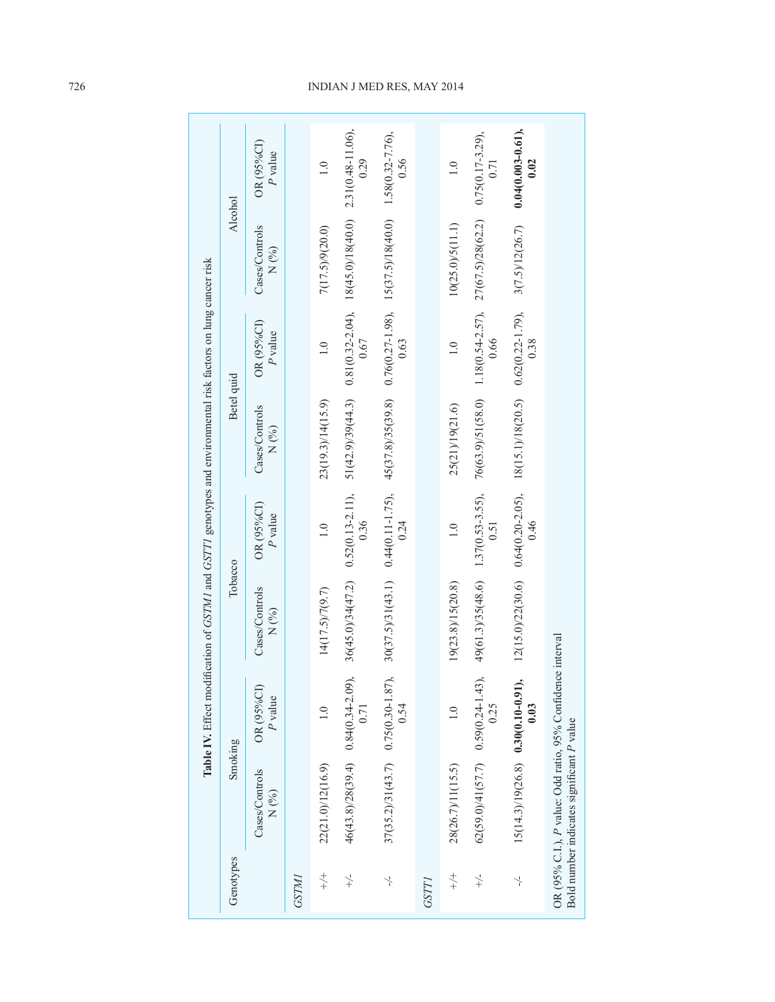|                       |                                                                                                         |                       | Table IV. Effect modification of GSTM1 and GSTT1 genotypes and environmental risk factors on lung cancer risk |                               |                                                                                 |                              |                                      |                               |
|-----------------------|---------------------------------------------------------------------------------------------------------|-----------------------|---------------------------------------------------------------------------------------------------------------|-------------------------------|---------------------------------------------------------------------------------|------------------------------|--------------------------------------|-------------------------------|
| Genotypes             | Smoking                                                                                                 |                       | Tobacco                                                                                                       |                               | Betel quid                                                                      |                              | Alcohol                              |                               |
|                       | Cases/Controls<br>N(%)                                                                                  | OR (95%CI)<br>P value | Cases/Controls<br>N(%)                                                                                        | OR (95%CI)<br>P value         | Cases/Controls<br>N(%)                                                          | OR (95%CI)<br>P value        | Cases/Controls<br>$N$ (%)            | OR (95%CI)<br>P value         |
| GSTMI                 |                                                                                                         |                       |                                                                                                               |                               |                                                                                 |                              |                                      |                               |
| $+\rightleftharpoons$ | 22(21.0)/12(16.9)                                                                                       |                       | 14(17.5)/7(9.7)                                                                                               | $\frac{0}{1}$                 | 23(19.3)/14(15.9)                                                               | $\frac{0}{1}$                | 7(17.5)/9(20.0)                      | $\frac{0}{1}$                 |
| $\searrow$            | $46(43.8)/28(39.4)$ 0.84 $(0.34-2.09)$                                                                  | 0.71                  | $36(45.0)/34(47.2)$ 0.52(0.13-2.11),                                                                          | 0.36                          | 51(42.9)39(44.3)                                                                | 0.67                         | $0.81(0.32-2.04), 18(45.0)/18(40.0)$ | 2.31(0.48-11.06),<br>0.29     |
| $\overline{a}$        | $37(35.2)/31(43.7)$ 0.75(0.30-1.87),                                                                    | 0.54                  | $30(37.5)/31(43.1)$ 0.44(0.11-1.75),                                                                          | 0.24                          | $45(37.8)/35(39.8)$ $0.76(0.27-1.98)$ , $15(37.5)/18(40.0)$ $1.58(0.32-7.76)$ , | 0.63                         |                                      | 0.56                          |
| GSTT                  |                                                                                                         |                       |                                                                                                               |                               |                                                                                 |                              |                                      |                               |
| $+\rightleftharpoons$ | 28(26.7)/11(15.5)                                                                                       |                       | 19(23.8)/15(20.8)                                                                                             | $\frac{0}{1}$                 | 25(21)/19(21.6)                                                                 | $\frac{0}{1}$                | 10(25.0)/5(11.1)                     | $\frac{0}{1}$                 |
| $\searrow$            | $62(59.0)/41(57.7)$ 0.59(0.24-1.43)                                                                     | 0.25                  | 49(61.3)/35(48.6)                                                                                             | $1.37(0.53 - 3.55)$ ,<br>0.51 | 76(63.9)/51(58.0)                                                               | $1.18(0.54 - 2.57),$<br>0.66 | 27(67.5)/28(62.2)                    | $0.75(0.17 - 3.29),$<br>0.71  |
| $\overline{a}$        | $15(14.3)/19(26.8)$ 0.30(0.10-0.91),                                                                    | 0.03                  | 12(15.0)/22(30.6)                                                                                             | $0.64(0.20-2.05),$<br>0.46    | 18(15.1)/18(20.5)                                                               | $0.62(0.22 - 1.79),$<br>0.38 | 3(7.5)/12(26.7)                      | $0.04(0.003 - 0.61),$<br>0.02 |
|                       | OR (95% C.I.), P value: Odd ratio, 95% Confidence interval<br>Bold number indicates significant P value |                       |                                                                                                               |                               |                                                                                 |                              |                                      |                               |

## 726 INDIAN J MED RES, may 2014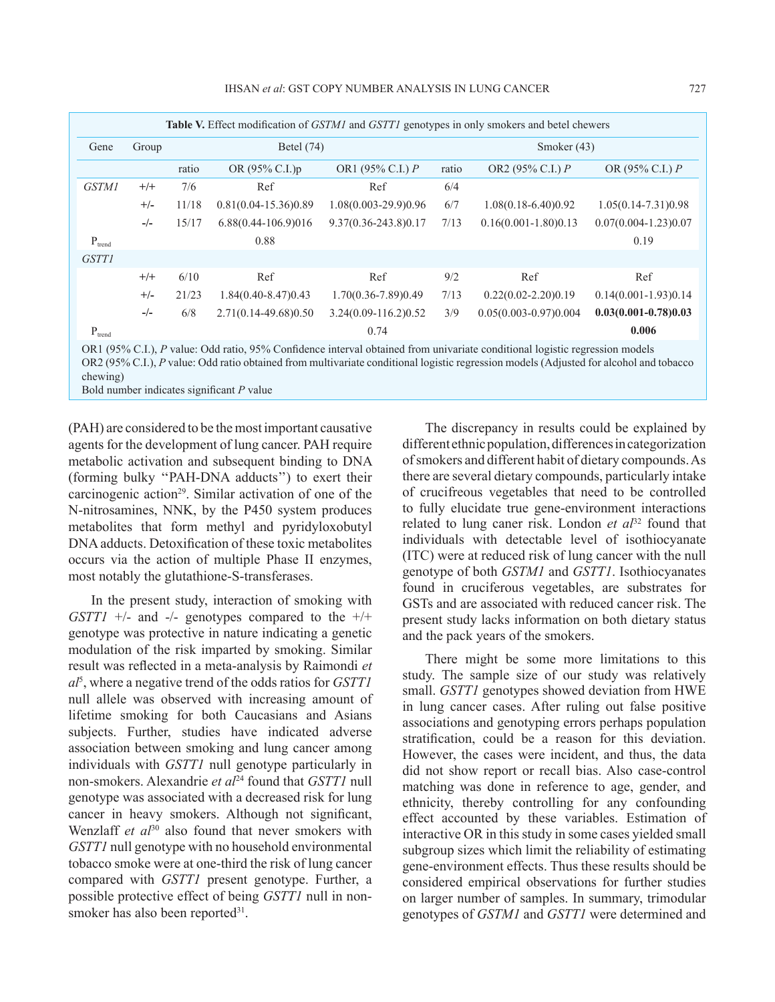| Table V. Effect modification of GSTM1 and GSTT1 genotypes in only smokers and betel chewers                                 |       |              |                         |                      |       |                           |                          |  |
|-----------------------------------------------------------------------------------------------------------------------------|-------|--------------|-------------------------|----------------------|-------|---------------------------|--------------------------|--|
| Gene                                                                                                                        | Group | Betel $(74)$ |                         |                      |       | Smoker $(43)$             |                          |  |
|                                                                                                                             |       | ratio        | OR (95% C.I.)p          | OR1 (95% C.I.) $P$   | ratio | OR2 (95% C.I.) $P$        | OR (95% C.I.) $P$        |  |
| <b>GSTM1</b>                                                                                                                | $+/+$ | 7/6          | Ref                     | Ref                  | 6/4   |                           |                          |  |
|                                                                                                                             | $+/-$ | 11/18        | $0.81(0.04-15.36)0.89$  | 1.08(0.003-29.9)0.96 | 6/7   | $1.08(0.18-6.40)0.92$     | $1.05(0.14 - 7.31)0.98$  |  |
|                                                                                                                             | $-/-$ | 15/17        | 6.88(0.44-106.9)016     | 9.37(0.36-243.8)0.17 | 7/13  | $0.16(0.001 - 1.80)0.13$  | $0.07(0.004 - 1.23)0.07$ |  |
| $P_{trend}$                                                                                                                 |       |              | 0.88                    |                      |       |                           | 0.19                     |  |
| <b>GSTT1</b>                                                                                                                |       |              |                         |                      |       |                           |                          |  |
|                                                                                                                             | $+/+$ | 6/10         | Ref                     | Ref                  | 9/2   | Ref                       | Ref                      |  |
|                                                                                                                             | $+/-$ | 21/23        | $1.84(0.40 - 8.47)0.43$ | 1.70(0.36-7.89)0.49  | 7/13  | $0.22(0.02 - 2.20)0.19$   | $0.14(0.001 - 1.93)0.14$ |  |
|                                                                                                                             | $-/-$ | 6/8          | 2.71(0.14-49.68)0.50    | 3.24(0.09-116.2)0.52 | 3/9   | $0.05(0.003 - 0.97)0.004$ | $0.03(0.001 - 0.78)0.03$ |  |
| $P_{trend}$                                                                                                                 |       |              |                         | 0.74                 |       |                           | 0.006                    |  |
| OR1 (95% C.I.), P value: Odd ratio, 95% Confidence interval obtained from univariate conditional logistic regression models |       |              |                         |                      |       |                           |                          |  |

OR2 (95% C.I.), *P* value: Odd ratio obtained from multivariate conditional logistic regression models (Adjusted for alcohol and tobacco chewing)

Bold number indicates significant *P* value

(PAH) are considered to be the most important causative agents for the development of lung cancer. PAH require metabolic activation and subsequent binding to DNA (forming bulky ''PAH-DNA adducts'') to exert their carcinogenic action<sup>29</sup>. Similar activation of one of the N-nitrosamines, NNK, by the P450 system produces metabolites that form methyl and pyridyloxobutyl DNA adducts. Detoxification of these toxic metabolites occurs via the action of multiple Phase II enzymes, most notably the glutathione-S-transferases.

In the present study, interaction of smoking with *GSTT1* +/- and -/- genotypes compared to the +/+ genotype was protective in nature indicating a genetic modulation of the risk imparted by smoking. Similar result was reflected in a meta-analysis by Raimondi *et al*<sup>5</sup> , where a negative trend of the odds ratios for *GSTT1* null allele was observed with increasing amount of lifetime smoking for both Caucasians and Asians subjects. Further, studies have indicated adverse association between smoking and lung cancer among individuals with *GSTT1* null genotype particularly in non-smokers. Alexandrie *et al*<sup>24</sup> found that *GSTT1* null genotype was associated with a decreased risk for lung cancer in heavy smokers. Although not significant, Wenzlaff *et al*<sup>30</sup> also found that never smokers with *GSTT1* null genotype with no household environmental tobacco smoke were at one-third the risk of lung cancer compared with *GSTT1* present genotype. Further, a possible protective effect of being *GSTT1* null in nonsmoker has also been reported $31$ .

The discrepancy in results could be explained by different ethnic population, differences in categorization of smokers and different habit of dietary compounds. As there are several dietary compounds, particularly intake of crucifreous vegetables that need to be controlled to fully elucidate true gene-environment interactions related to lung caner risk. London *et al*<sup>32</sup> found that individuals with detectable level of isothiocyanate (ITC) were at reduced risk of lung cancer with the null genotype of both *GSTM1* and *GSTT1*. Isothiocyanates found in cruciferous vegetables, are substrates for GSTs and are associated with reduced cancer risk. The present study lacks information on both dietary status and the pack years of the smokers.

There might be some more limitations to this study. The sample size of our study was relatively small. *GSTT1* genotypes showed deviation from HWE in lung cancer cases. After ruling out false positive associations and genotyping errors perhaps population stratification, could be a reason for this deviation. However, the cases were incident, and thus, the data did not show report or recall bias. Also case-control matching was done in reference to age, gender, and ethnicity, thereby controlling for any confounding effect accounted by these variables. Estimation of interactive OR in this study in some cases yielded small subgroup sizes which limit the reliability of estimating gene-environment effects. Thus these results should be considered empirical observations for further studies on larger number of samples. In summary, trimodular genotypes of *GSTM1* and *GSTT1* were determined and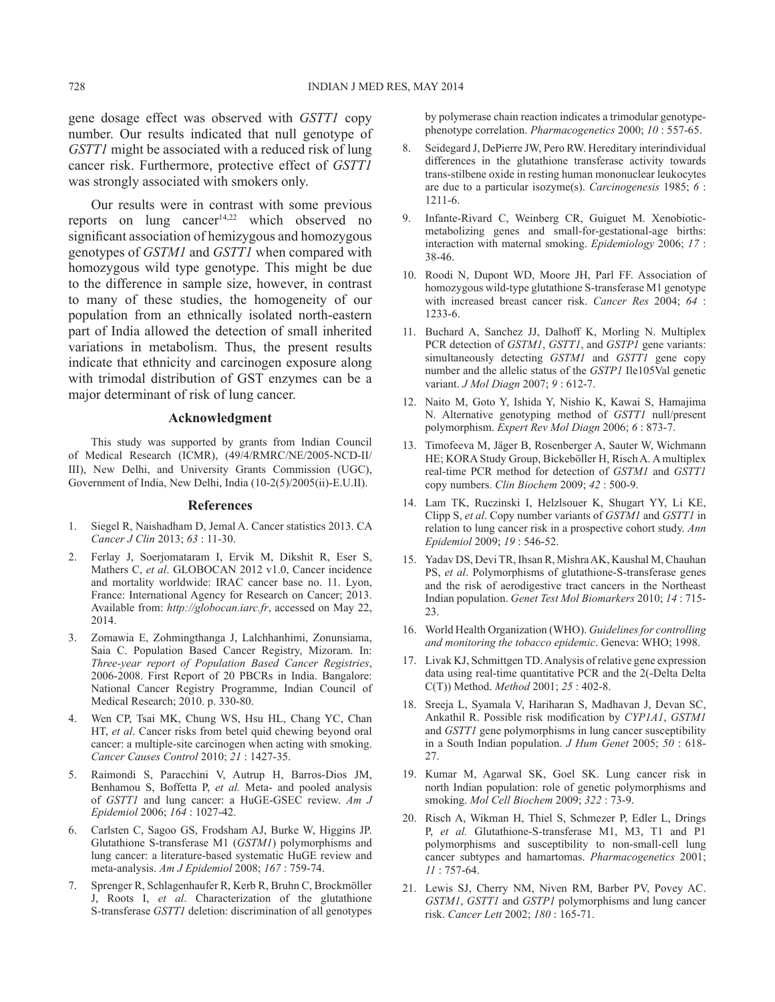gene dosage effect was observed with *GSTT1* copy number. Our results indicated that null genotype of *GSTT1* might be associated with a reduced risk of lung cancer risk. Furthermore, protective effect of *GSTT1* was strongly associated with smokers only.

 Our results were in contrast with some previous reports on lung cancer<sup>14,22</sup> which observed no significant association of hemizygous and homozygous genotypes of *GSTM1* and *GSTT1* when compared with homozygous wild type genotype. This might be due to the difference in sample size, however, in contrast to many of these studies, the homogeneity of our population from an ethnically isolated north-eastern part of India allowed the detection of small inherited variations in metabolism. Thus, the present results indicate that ethnicity and carcinogen exposure along with trimodal distribution of GST enzymes can be a major determinant of risk of lung cancer.

### **Acknowledgment**

This study was supported by grants from Indian Council of Medical Research (ICMR), (49/4/RMRC/NE/2005-NCD-II/ III), New Delhi, and University Grants Commission (UGC), Government of India, New Delhi, India (10-2(5)/2005(ii)-E.U.II).

#### **References**

- 1. Siegel R, Naishadham D, Jemal A. Cancer statistics 2013. CA *Cancer J Clin* 2013; *63* : 11-30.
- 2. Ferlay J, Soerjomataram I, Ervik M, Dikshit R, Eser S, Mathers C, *et al*. GLOBOCAN 2012 v1.0, Cancer incidence and mortality worldwide: IRAC cancer base no. 11. Lyon, France: International Agency for Research on Cancer; 2013. Available from: *http://globocan.iarc.fr*, accessed on May 22, 2014.
- 3. Zomawia E, Zohmingthanga J, Lalchhanhimi, Zonunsiama, Saia C. Population Based Cancer Registry, Mizoram. In: *Three-year report of Population Based Cancer Registries*, 2006-2008. First Report of 20 PBCRs in India. Bangalore: National Cancer Registry Programme, Indian Council of Medical Research; 2010. p. 330-80.
- 4. Wen CP, Tsai MK, Chung WS, Hsu HL, Chang YC, Chan HT, *et al*. Cancer risks from betel quid chewing beyond oral cancer: a multiple-site carcinogen when acting with smoking. *Cancer Causes Control* 2010; *21* : 1427-35.
- 5. Raimondi S, Paracchini V, Autrup H, Barros-Dios JM, Benhamou S, Boffetta P, *et al.* Meta- and pooled analysis of *GSTT1* and lung cancer: a HuGE-GSEC review. *Am J Epidemiol* 2006; *164* : 1027-42.
- 6. Carlsten C, Sagoo GS, Frodsham AJ, Burke W, Higgins JP. Glutathione S-transferase M1 (*GSTM1*) polymorphisms and lung cancer: a literature-based systematic HuGE review and meta-analysis. *Am J Epidemiol* 2008; *167* : 759-74.
- 7. Sprenger R, Schlagenhaufer R, Kerb R, Bruhn C, Brockmöller J, Roots I, *et al*. Characterization of the glutathione S-transferase *GSTT1* deletion: discrimination of all genotypes

by polymerase chain reaction indicates a trimodular genotypephenotype correlation. *Pharmacogenetics* 2000; *10* : 557-65.

- 8. Seidegard J, DePierre JW, Pero RW. Hereditary interindividual differences in the glutathione transferase activity towards trans-stilbene oxide in resting human mononuclear leukocytes are due to a particular isozyme(s). *Carcinogenesis* 1985; *6* : 1211-6.
- 9. Infante-Rivard C, Weinberg CR, Guiguet M. Xenobioticmetabolizing genes and small-for-gestational-age births: interaction with maternal smoking. *Epidemiology* 2006; *17* : 38-46.
- 10. Roodi N, Dupont WD, Moore JH, Parl FF. Association of homozygous wild-type glutathione S-transferase M1 genotype with increased breast cancer risk. *Cancer Res* 2004; *64* : 1233-6.
- 11. Buchard A, Sanchez JJ, Dalhoff K, Morling N. Multiplex PCR detection of *GSTM1*, *GSTT1*, and *GSTP1* gene variants: simultaneously detecting *GSTM1* and *GSTT1* gene copy number and the allelic status of the *GSTP1* Ile105Val genetic variant. *J Mol Diagn* 2007; *9* : 612-7.
- 12. Naito M, Goto Y, Ishida Y, Nishio K, Kawai S, Hamajima N. Alternative genotyping method of *GSTT1* null/present polymorphism. *Expert Rev Mol Diagn* 2006; *6* : 873-7.
- 13. Timofeeva M, Jäger B, Rosenberger A, Sauter W, Wichmann HE; KORA Study Group, Bickeböller H, Risch A. A multiplex real-time PCR method for detection of *GSTM1* and *GSTT1* copy numbers. *Clin Biochem* 2009; *42* : 500-9.
- 14. Lam TK, Ruczinski I, Helzlsouer K, Shugart YY, Li KE, Clipp S, *et al*. Copy number variants of *GSTM1* and *GSTT1* in relation to lung cancer risk in a prospective cohort study. *Ann Epidemiol* 2009; *19* : 546-52.
- 15. Yadav DS, Devi TR, Ihsan R, Mishra AK, Kaushal M, Chauhan PS, *et al*. Polymorphisms of glutathione-S-transferase genes and the risk of aerodigestive tract cancers in the Northeast Indian population. *Genet Test Mol Biomarkers* 2010; *14* : 715- 23.
- 16. World Health Organization (WHO). *Guidelines for controlling and monitoring the tobacco epidemic*. Geneva: WHO; 1998.
- 17. Livak KJ, Schmittgen TD. Analysis of relative gene expression data using real-time quantitative PCR and the 2(-Delta Delta C(T)) Method. *Method* 2001; *25* : 402-8.
- 18. Sreeja L, Syamala V, Hariharan S, Madhavan J, Devan SC, Ankathil R. Possible risk modification by *CYP1A1*, *GSTM1* and *GSTT1* gene polymorphisms in lung cancer susceptibility in a South Indian population. *J Hum Genet* 2005; *50* : 618- 27.
- 19. Kumar M, Agarwal SK, Goel SK. Lung cancer risk in north Indian population: role of genetic polymorphisms and smoking. *Mol Cell Biochem* 2009; *322* : 73-9.
- 20. Risch A, Wikman H, Thiel S, Schmezer P, Edler L, Drings P, *et al.* Glutathione-S-transferase M1, M3, T1 and P1 polymorphisms and susceptibility to non-small-cell lung cancer subtypes and hamartomas. *Pharmacogenetics* 2001; *11* : 757-64.
- 21. Lewis SJ, Cherry NM, Niven RM, Barber PV, Povey AC. *GSTM1*, *GSTT1* and *GSTP1* polymorphisms and lung cancer risk. *Cancer Lett* 2002; *180* : 165-71.